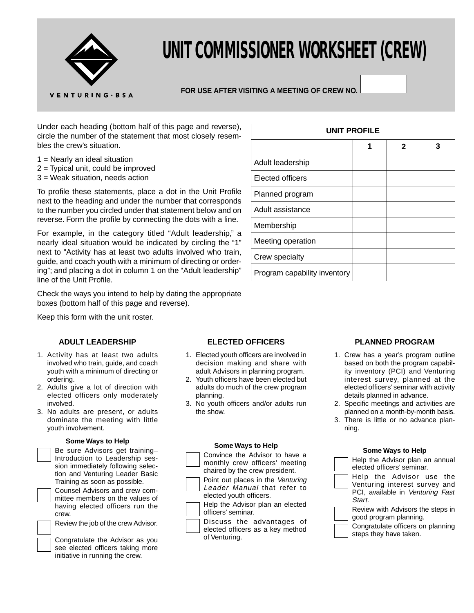

# **UNIT COMMISSIONER WORKSHEET (CREW)**

# **FOR USE AFTER VISITING A MEETING OF CREW NO.**

Under each heading (bottom half of this page and reverse), circle the number of the statement that most closely resembles the crew's situation.

- $1$  = Nearly an ideal situation
- 2 = Typical unit, could be improved
- 3 = Weak situation, needs action

To profile these statements, place a dot in the Unit Profile next to the heading and under the number that corresponds to the number you circled under that statement below and on reverse. Form the profile by connecting the dots with a line.

For example, in the category titled "Adult leadership," a nearly ideal situation would be indicated by circling the "1" next to "Activity has at least two adults involved who train, guide, and coach youth with a minimum of directing or ordering"; and placing a dot in column 1 on the "Adult leadership" line of the Unit Profile.

Check the ways you intend to help by dating the appropriate boxes (bottom half of this page and reverse).

Keep this form with the unit roster.

### **ADULT LEADERSHIP**

- 1. Activity has at least two adults involved who train, guide, and coach youth with a minimum of directing or ordering.
- 2. Adults give a lot of direction with elected officers only moderately involved.
- 3. No adults are present, or adults dominate the meeting with little youth involvement.

#### **Some Ways to Help**

| Be sure Advisors get training-    |
|-----------------------------------|
| Introduction to Leadership ses-   |
| sion immediately following selec- |
| tion and Venturing Leader Basic   |
| Training as soon as possible.     |
| Counsel Advisors and crew com-    |

mittee members on the values of having elected officers run the crew.

Review the job of the crew Advisor.

Congratulate the Advisor as you see elected officers taking more initiative in running the crew.

| <b>UNIT PROFILE</b>          |   |              |   |
|------------------------------|---|--------------|---|
|                              | 1 | $\mathbf{2}$ | 3 |
| Adult leadership             |   |              |   |
| Elected officers             |   |              |   |
| Planned program              |   |              |   |
| Adult assistance             |   |              |   |
| Membership                   |   |              |   |
| Meeting operation            |   |              |   |
| Crew specialty               |   |              |   |
| Program capability inventory |   |              |   |

### **ELECTED OFFICERS**

- 1. Elected youth officers are involved in decision making and share with adult Advisors in planning program.
- 2. Youth officers have been elected but adults do much of the crew program planning.
- 3. No youth officers and/or adults run the show.

#### **Some Ways to Help**



elected officers as a key method of Venturing.

### **PLANNED PROGRAM**

- 1. Crew has a year's program outline based on both the program capability inventory (PCI) and Venturing interest survey, planned at the elected officers' seminar with activity details planned in advance.
- 2. Specific meetings and activities are planned on a month-by-month basis.
- 3. There is little or no advance planning.